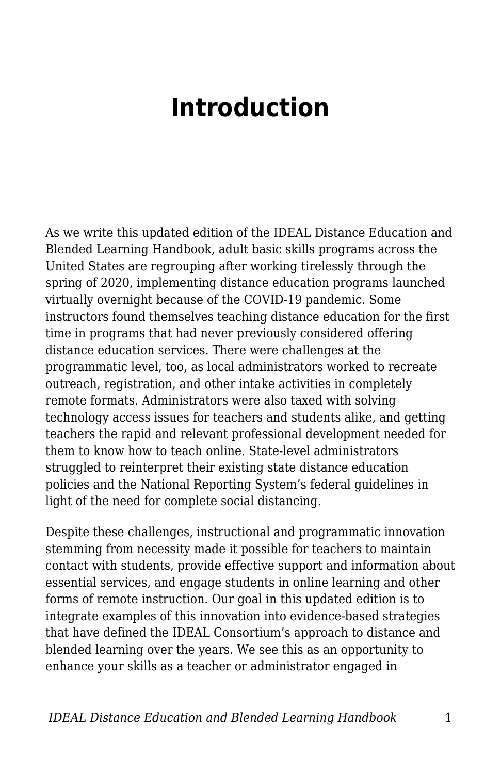# **Introduction**

As we write this updated edition of the IDEAL Distance Education and Blended Learning Handbook, adult basic skills programs across the United States are regrouping after working tirelessly through the spring of 2020, implementing distance education programs launched virtually overnight because of the COVID-19 pandemic. Some instructors found themselves teaching distance education for the first time in programs that had never previously considered offering distance education services. There were challenges at the programmatic level, too, as local administrators worked to recreate outreach, registration, and other intake activities in completely remote formats. Administrators were also taxed with solving technology access issues for teachers and students alike, and getting teachers the rapid and relevant professional development needed for them to know how to teach online. State-level administrators struggled to reinterpret their existing state distance education policies and the National Reporting System's federal guidelines in light of the need for complete social distancing.

Despite these challenges, instructional and programmatic innovation stemming from necessity made it possible for teachers to maintain contact with students, provide effective support and information about essential services, and engage students in online learning and other forms of remote instruction. Our goal in this updated edition is to integrate examples of this innovation into evidence-based strategies that have defined the IDEAL Consortium's approach to distance and blended learning over the years. We see this as an opportunity to enhance your skills as a teacher or administrator engaged in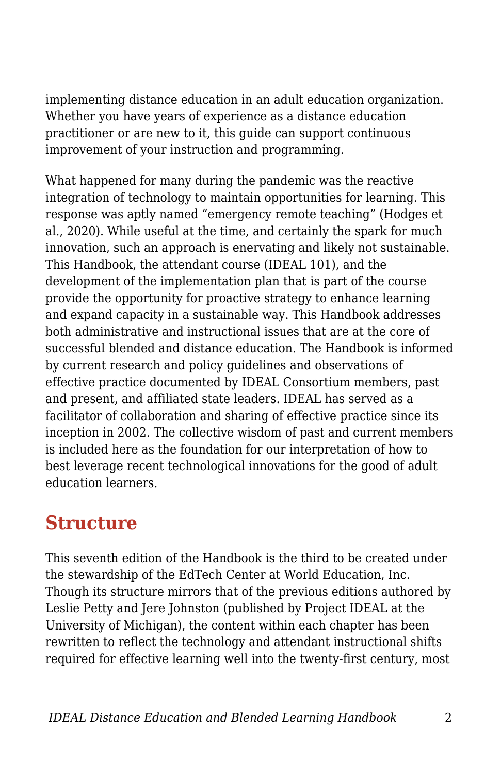implementing distance education in an adult education organization. Whether you have years of experience as a distance education practitioner or are new to it, this guide can support continuous improvement of your instruction and programming.

What happened for many during the pandemic was the reactive integration of technology to maintain opportunities for learning. This response was aptly named "emergency remote teaching" (Hodges et al., 2020). While useful at the time, and certainly the spark for much innovation, such an approach is enervating and likely not sustainable. This Handbook, the attendant course (IDEAL 101), and the development of the implementation plan that is part of the course provide the opportunity for proactive strategy to enhance learning and expand capacity in a sustainable way. This Handbook addresses both administrative and instructional issues that are at the core of successful blended and distance education. The Handbook is informed by current research and policy guidelines and observations of effective practice documented by IDEAL Consortium members, past and present, and affiliated state leaders. IDEAL has served as a facilitator of collaboration and sharing of effective practice since its inception in 2002. The collective wisdom of past and current members is included here as the foundation for our interpretation of how to best leverage recent technological innovations for the good of adult education learners.

### **Structure**

This seventh edition of the Handbook is the third to be created under the stewardship of the EdTech Center at World Education, Inc. Though its structure mirrors that of the previous editions authored by Leslie Petty and Jere Johnston (published by Project IDEAL at the University of Michigan), the content within each chapter has been rewritten to reflect the technology and attendant instructional shifts required for effective learning well into the twenty-first century, most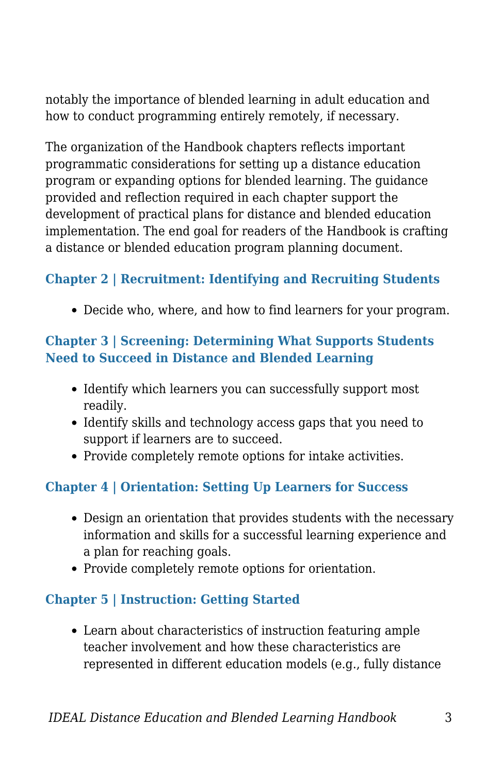notably the importance of blended learning in adult education and how to conduct programming entirely remotely, if necessary.

The organization of the Handbook chapters reflects important programmatic considerations for setting up a distance education program or expanding options for blended learning. The guidance provided and reflection required in each chapter support the development of practical plans for distance and blended education implementation. The end goal for readers of the Handbook is crafting a distance or blended education program planning document.

#### **Chapter 2 | Recruitment: Identifying and Recruiting Students**

Decide who, where, and how to find learners for your program.

#### **Chapter 3 | Screening: Determining What Supports Students Need to Succeed in Distance and Blended Learning**

- Identify which learners you can successfully support most readily.
- Identify skills and technology access gaps that you need to support if learners are to succeed.
- Provide completely remote options for intake activities.

#### **Chapter 4 | Orientation: Setting Up Learners for Success**

- Design an orientation that provides students with the necessary information and skills for a successful learning experience and a plan for reaching goals.
- Provide completely remote options for orientation.

#### **Chapter 5 | Instruction: Getting Started**

Learn about characteristics of instruction featuring ample teacher involvement and how these characteristics are represented in different education models (e.g., fully distance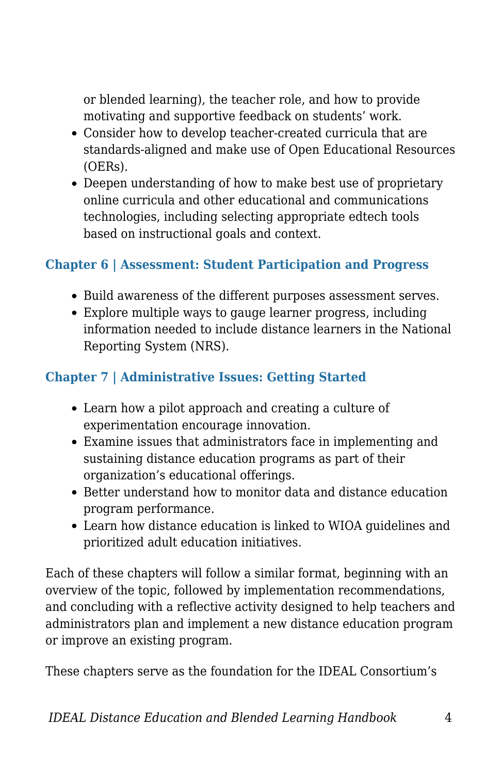or blended learning), the teacher role, and how to provide motivating and supportive feedback on students' work.

- Consider how to develop teacher-created curricula that are standards-aligned and make use of Open Educational Resources (OERs).
- Deepen understanding of how to make best use of proprietary online curricula and other educational and communications technologies, including selecting appropriate edtech tools based on instructional goals and context.

#### **Chapter 6 | Assessment: Student Participation and Progress**

- Build awareness of the different purposes assessment serves.
- Explore multiple ways to gauge learner progress, including information needed to include distance learners in the National Reporting System (NRS).

#### **Chapter 7 | Administrative Issues: Getting Started**

- Learn how a pilot approach and creating a culture of experimentation encourage innovation.
- Examine issues that administrators face in implementing and sustaining distance education programs as part of their organization's educational offerings.
- Better understand how to monitor data and distance education program performance.
- Learn how distance education is linked to WIOA guidelines and prioritized adult education initiatives.

Each of these chapters will follow a similar format, beginning with an overview of the topic, followed by implementation recommendations, and concluding with a reflective activity designed to help teachers and administrators plan and implement a new distance education program or improve an existing program.

These chapters serve as the foundation for the IDEAL Consortium's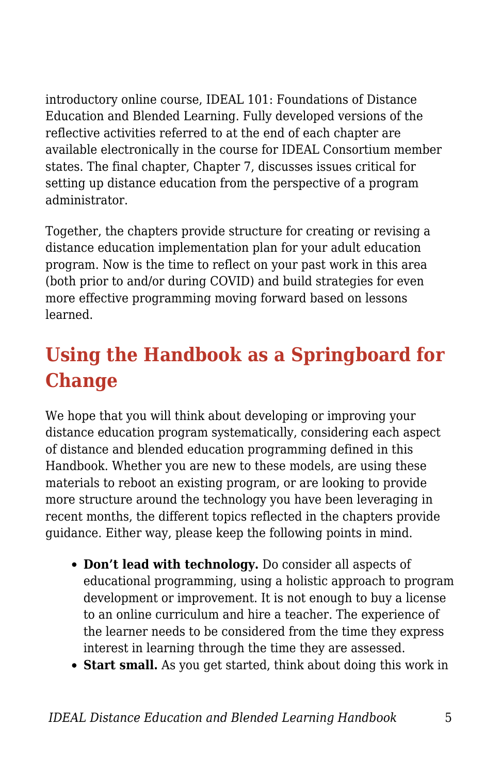introductory online course, IDEAL 101: Foundations of Distance Education and Blended Learning. Fully developed versions of the reflective activities referred to at the end of each chapter are available electronically in the course for IDEAL Consortium member states. The final chapter, Chapter 7, discusses issues critical for setting up distance education from the perspective of a program administrator.

Together, the chapters provide structure for creating or revising a distance education implementation plan for your adult education program. Now is the time to reflect on your past work in this area (both prior to and/or during COVID) and build strategies for even more effective programming moving forward based on lessons learned.

# **Using the Handbook as a Springboard for Change**

We hope that you will think about developing or improving your distance education program systematically, considering each aspect of distance and blended education programming defined in this Handbook. Whether you are new to these models, are using these materials to reboot an existing program, or are looking to provide more structure around the technology you have been leveraging in recent months, the different topics reflected in the chapters provide guidance. Either way, please keep the following points in mind.

- **Don't lead with technology.** Do consider all aspects of educational programming, using a holistic approach to program development or improvement. It is not enough to buy a license to an online curriculum and hire a teacher. The experience of the learner needs to be considered from the time they express interest in learning through the time they are assessed.
- **Start small.** As you get started, think about doing this work in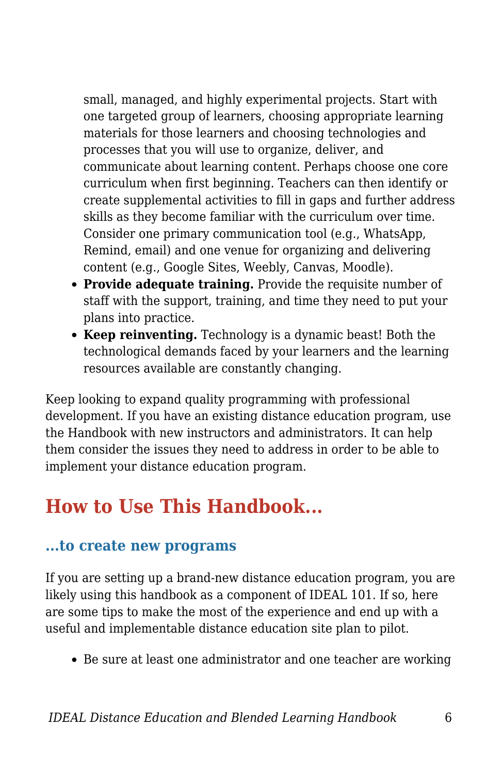small, managed, and highly experimental projects. Start with one targeted group of learners, choosing appropriate learning materials for those learners and choosing technologies and processes that you will use to organize, deliver, and communicate about learning content. Perhaps choose one core curriculum when first beginning. Teachers can then identify or create supplemental activities to fill in gaps and further address skills as they become familiar with the curriculum over time. Consider one primary communication tool (e.g., WhatsApp, Remind, email) and one venue for organizing and delivering content (e.g., Google Sites, Weebly, Canvas, Moodle).

- **Provide adequate training.** Provide the requisite number of staff with the support, training, and time they need to put your plans into practice.
- **Keep reinventing.** Technology is a dynamic beast! Both the technological demands faced by your learners and the learning resources available are constantly changing.

Keep looking to expand quality programming with professional development. If you have an existing distance education program, use the Handbook with new instructors and administrators. It can help them consider the issues they need to address in order to be able to implement your distance education program.

## **How to Use This Handbook...**

#### **...to create new programs**

If you are setting up a brand-new distance education program, you are likely using this handbook as a component of IDEAL 101. If so, here are some tips to make the most of the experience and end up with a useful and implementable distance education site plan to pilot.

Be sure at least one administrator and one teacher are working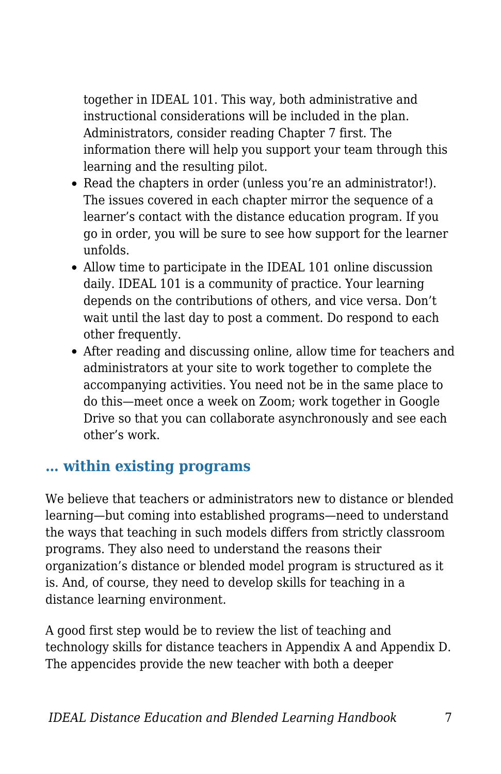together in IDEAL 101. This way, both administrative and instructional considerations will be included in the plan. Administrators, consider reading Chapter 7 first. The information there will help you support your team through this learning and the resulting pilot.

- Read the chapters in order (unless you're an administrator!). The issues covered in each chapter mirror the sequence of a learner's contact with the distance education program. If you go in order, you will be sure to see how support for the learner unfolds.
- Allow time to participate in the IDEAL 101 online discussion daily. IDEAL 101 is a community of practice. Your learning depends on the contributions of others, and vice versa. Don't wait until the last day to post a comment. Do respond to each other frequently.
- After reading and discussing online, allow time for teachers and administrators at your site to work together to complete the accompanying activities. You need not be in the same place to do this—meet once a week on Zoom; work together in Google Drive so that you can collaborate asynchronously and see each other's work.

#### **… within existing programs**

We believe that teachers or administrators new to distance or blended learning—but coming into established programs—need to understand the ways that teaching in such models differs from strictly classroom programs. They also need to understand the reasons their organization's distance or blended model program is structured as it is. And, of course, they need to develop skills for teaching in a distance learning environment.

A good first step would be to review the list of teaching and technology skills for distance teachers in Appendix A and Appendix D. The appencides provide the new teacher with both a deeper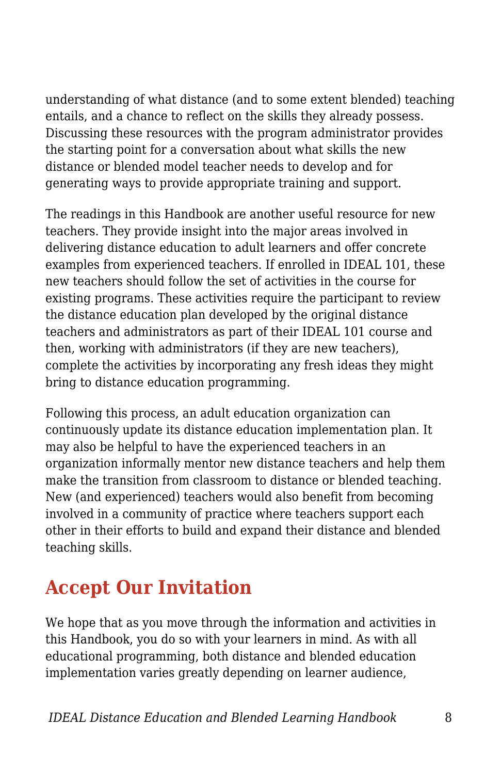understanding of what distance (and to some extent blended) teaching entails, and a chance to reflect on the skills they already possess. Discussing these resources with the program administrator provides the starting point for a conversation about what skills the new distance or blended model teacher needs to develop and for generating ways to provide appropriate training and support.

The readings in this Handbook are another useful resource for new teachers. They provide insight into the major areas involved in delivering distance education to adult learners and offer concrete examples from experienced teachers. If enrolled in IDEAL 101, these new teachers should follow the set of activities in the course for existing programs. These activities require the participant to review the distance education plan developed by the original distance teachers and administrators as part of their IDEAL 101 course and then, working with administrators (if they are new teachers), complete the activities by incorporating any fresh ideas they might bring to distance education programming.

Following this process, an adult education organization can continuously update its distance education implementation plan. It may also be helpful to have the experienced teachers in an organization informally mentor new distance teachers and help them make the transition from classroom to distance or blended teaching. New (and experienced) teachers would also benefit from becoming involved in a community of practice where teachers support each other in their efforts to build and expand their distance and blended teaching skills.

### **Accept Our Invitation**

We hope that as you move through the information and activities in this Handbook, you do so with your learners in mind. As with all educational programming, both distance and blended education implementation varies greatly depending on learner audience,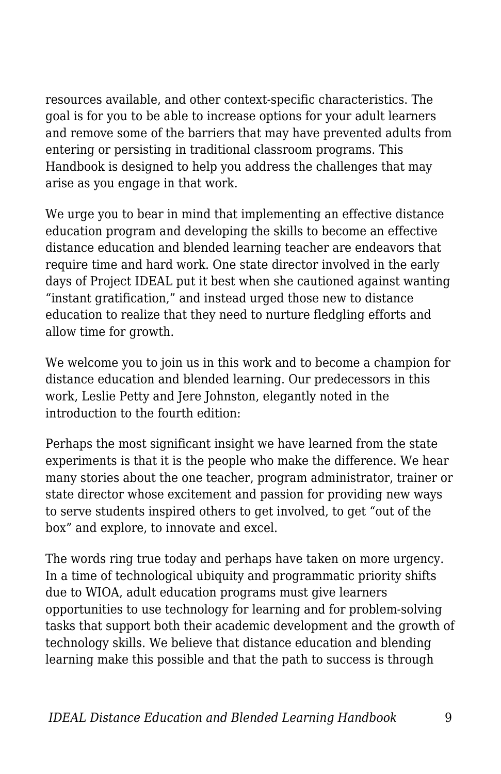resources available, and other context-specific characteristics. The goal is for you to be able to increase options for your adult learners and remove some of the barriers that may have prevented adults from entering or persisting in traditional classroom programs. This Handbook is designed to help you address the challenges that may arise as you engage in that work.

We urge you to bear in mind that implementing an effective distance education program and developing the skills to become an effective distance education and blended learning teacher are endeavors that require time and hard work. One state director involved in the early days of Project IDEAL put it best when she cautioned against wanting "instant gratification," and instead urged those new to distance education to realize that they need to nurture fledgling efforts and allow time for growth.

We welcome you to join us in this work and to become a champion for distance education and blended learning. Our predecessors in this work, Leslie Petty and Jere Johnston, elegantly noted in the introduction to the fourth edition:

Perhaps the most significant insight we have learned from the state experiments is that it is the people who make the difference. We hear many stories about the one teacher, program administrator, trainer or state director whose excitement and passion for providing new ways to serve students inspired others to get involved, to get "out of the box" and explore, to innovate and excel.

The words ring true today and perhaps have taken on more urgency. In a time of technological ubiquity and programmatic priority shifts due to WIOA, adult education programs must give learners opportunities to use technology for learning and for problem-solving tasks that support both their academic development and the growth of technology skills. We believe that distance education and blending learning make this possible and that the path to success is through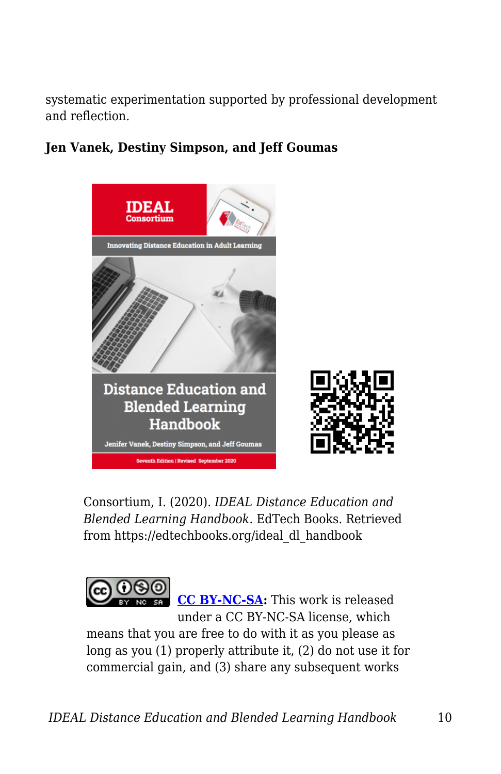systematic experimentation supported by professional development and reflection.

#### **Jen Vanek, Destiny Simpson, and Jeff Goumas**



Consortium, I. (2020). *IDEAL Distance Education and Blended Learning Handbook*. EdTech Books. Retrieved from https://edtechbooks.org/ideal\_dl\_handbook



**[CC BY-NC-SA](https://creativecommons.org/licenses/by-nc-sa/4.0):** This work is released under a CC BY-NC-SA license, which

means that you are free to do with it as you please as long as you (1) properly attribute it, (2) do not use it for commercial gain, and (3) share any subsequent works